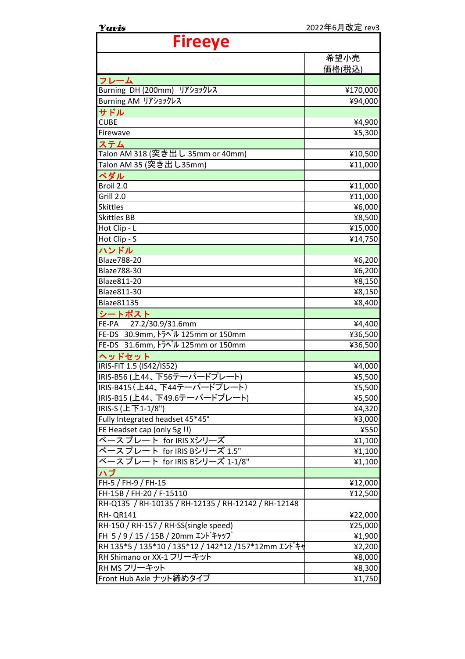| <b>Yuris</b>                                         | 2022年6月改定 rev3 |
|------------------------------------------------------|----------------|
| <b>Fireeye</b>                                       |                |
|                                                      | 希望小売           |
|                                                      | 価格(税込)         |
|                                                      |                |
| フレーム<br>Burning DH (200mm) リアショックレス                  | ¥170,000       |
| Burning AM リアショックレス                                  | ¥94,000        |
| サドル                                                  |                |
| <b>CUBE</b>                                          | ¥4,900         |
| Firewave                                             | ¥5,300         |
| ステム                                                  |                |
| Talon AM 318 (突き出し 35mm or 40mm)                     | ¥10,500        |
| Talon AM 35 (突き出し35mm)                               | ¥11,000        |
| ペダル                                                  |                |
| Broil 2.0                                            | ¥11,000        |
| Grill 2.0                                            | ¥11,000        |
| <b>Skittles</b>                                      | ¥6,000         |
| <b>Skittles BB</b>                                   | ¥8,500         |
| Hot Clip - L                                         | ¥15,000        |
| Hot Clip - S                                         | ¥14,750        |
| ハンドル                                                 |                |
| <b>Blaze788-20</b>                                   | ¥6,200         |
| Blaze788-30                                          | ¥6,200         |
| Blaze811-20                                          | ¥8,150         |
| Blaze811-30                                          | ¥8,150         |
| <b>Blaze81135</b>                                    | ¥8,400         |
| シートポスト                                               |                |
| 27.2/30.9/31.6mm<br>FE-PA                            | ¥4,400         |
| FE-DS 30.9mm, $\frac{1}{2}$ $\sqrt{125}$ mm or 150mm | ¥36,500        |
| FE-DS 31.6mm, $\overline{50}$ W 125mm or 150mm       | ¥36,500        |
| ヘッドセット                                               |                |
| IRIS-FIT 1.5 (IS42/IS52)                             | ¥4,000         |
| IRIS-B56 (上44、下56テーパードプレート)                          | ¥5,500         |
| IRIS-B415(上44、下44テーパードプレート)                          | ¥5,500         |
| IRIS-B15 (上44、下49.6テーパードプレート)                        | ¥5,500         |
| IRIS-S (上下1-1/8")                                    | ¥4,320         |
| Fully Integrated headset 45*45°                      | ¥3,000         |
| FE Headset cap (only 5g !!)                          | ¥550           |
| ベースプレート for IRIS Xシリーズ                               | ¥1,100         |
| ベースプレート for IRIS Bシリーズ 1.5"                          | ¥1,100         |
| ベースプレート for IRIS Bシリーズ 1-1/8"                        | ¥1,100         |
| ハブ                                                   |                |
| FH-5 / FH-9 / FH-15                                  | ¥12,000        |
| FH-15B / FH-20 / F-15110                             | ¥12,500        |
| RH-Q135 / RH-10135 / RH-12135 / RH-12142 / RH-12148  |                |
| <b>RH- QR141</b>                                     | ¥22,000        |
| RH-150 / RH-157 / RH-SS(single speed)                | ¥25,000        |
| FH 5/9/15/15B/20mmエンドキャップ                            | ¥1,900         |
| RH 135*5 / 135*10 / 135*12 / 142*12 /157*12mm エンドキャ  | ¥2,200         |
| RH Shimano or XX-1 フリーキット                            | ¥8,000         |
| RH MS フリーキット                                         | ¥8,300         |
| Front Hub Axle ナット締めタイプ                              | ¥1,750         |